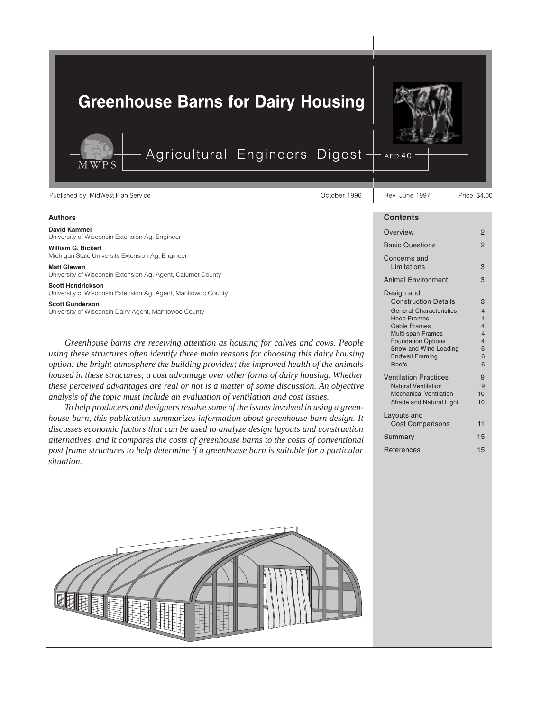# **Greenhouse Barns for Dairy Housing**

Agricultural Engineers Digest

Published by: MidWest Plan Service

M W P

### Authors

### David Kammel University of Wisconsin Extension Ag. Engineer

William G. Bickert Michigan State University Extension Ag. Engineer

Matt Glewen

University of Wisconsin Extension Ag. Agent, Calumet County

Scott Hendrickson University of Wisconsin Extension Ag. Agent, Manitowoc County

Scott Gunderson

University of Wisconsin Dairy Agent, Manitowoc County

*Greenhouse barns are receiving attention as housing for calves and cows. People using these structures often identify three main reasons for choosing this dairy housing option: the bright atmosphere the building provides; the improved health of the animals housed in these structures; a cost advantage over other forms of dairy housing. Whether these perceived advantages are real or not is a matter of some discussion. An objective analysis of the topic must include an evaluation of ventilation and cost issues.*

*To help producers and designers resolve some of the issues involved in using a greenhouse barn, this publication summarizes information about greenhouse barn design. It discusses economic factors that can be used to analyze design layouts and construction alternatives, and it compares the costs of greenhouse barns to the costs of conventional post frame structures to help determine if a greenhouse barn is suitable for a particular situation.*



# AED<sub>40</sub>

Price: \$4,00

### **Contents**

Rev. June 1997

| Overview                                                                                                                                                                                                                               | $\overline{2}$                                                                                         |  |  |  |  |  |
|----------------------------------------------------------------------------------------------------------------------------------------------------------------------------------------------------------------------------------------|--------------------------------------------------------------------------------------------------------|--|--|--|--|--|
| <b>Basic Questions</b>                                                                                                                                                                                                                 |                                                                                                        |  |  |  |  |  |
| Concerns and<br>Limitations                                                                                                                                                                                                            | 3                                                                                                      |  |  |  |  |  |
| <b>Animal Environment</b>                                                                                                                                                                                                              | 3                                                                                                      |  |  |  |  |  |
| Design and<br><b>Construction Details</b><br><b>General Characteristics</b><br><b>Hoop Frames</b><br>Gable Frames<br>Multi-span Frames<br><b>Foundation Options</b><br>Snow and Wind Loading<br><b>Endwall Framing</b><br><b>Roofs</b> | 3<br>$\overline{4}$<br>4<br>$\overline{\mathbf{4}}$<br>$\overline{4}$<br>$\overline{4}$<br>6<br>6<br>6 |  |  |  |  |  |
| <b>Ventilation Practices</b><br><b>Natural Ventilation</b><br><b>Mechanical Ventilation</b><br>Shade and Natural Light                                                                                                                 | 9<br>9<br>10<br>10                                                                                     |  |  |  |  |  |
| Layouts and<br><b>Cost Comparisons</b>                                                                                                                                                                                                 | 11                                                                                                     |  |  |  |  |  |
| Summary                                                                                                                                                                                                                                | 15                                                                                                     |  |  |  |  |  |
| References                                                                                                                                                                                                                             | 15                                                                                                     |  |  |  |  |  |

October 1996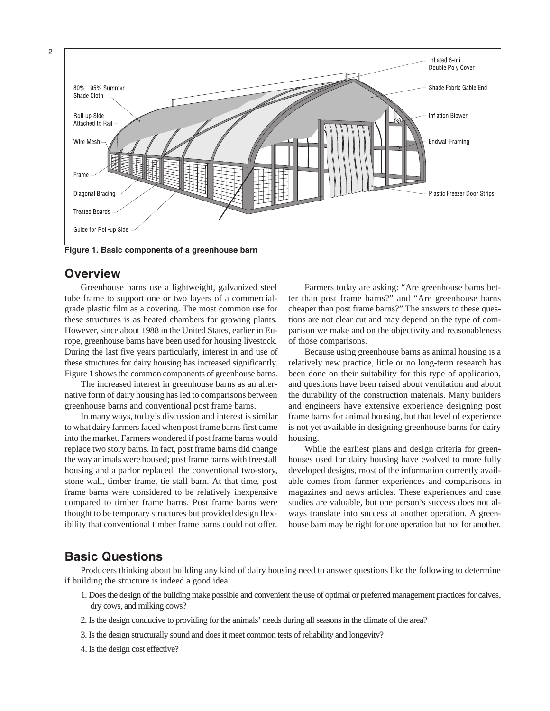2



Figure 1. Basic components of a greenhouse barn

# **Overview**

Greenhouse barns use a lightweight, galvanized steel tube frame to support one or two layers of a commercialgrade plastic film as a covering. The most common use for these structures is as heated chambers for growing plants. However, since about 1988 in the United States, earlier in Europe, greenhouse barns have been used for housing livestock. During the last five years particularly, interest in and use of these structures for dairy housing has increased significantly. Figure 1 shows the common components of greenhouse barns.

The increased interest in greenhouse barns as an alternative form of dairy housing has led to comparisons between greenhouse barns and conventional post frame barns.

In many ways, today's discussion and interest is similar to what dairy farmers faced when post frame barns first came into the market. Farmers wondered if post frame barns would replace two story barns. In fact, post frame barns did change the way animals were housed; post frame barns with freestall housing and a parlor replaced the conventional two-story, stone wall, timber frame, tie stall barn. At that time, post frame barns were considered to be relatively inexpensive compared to timber frame barns. Post frame barns were thought to be temporary structures but provided design flexibility that conventional timber frame barns could not offer.

Farmers today are asking: "Are greenhouse barns better than post frame barns?" and "Are greenhouse barns cheaper than post frame barns?" The answers to these questions are not clear cut and may depend on the type of comparison we make and on the objectivity and reasonableness of those comparisons.

Because using greenhouse barns as animal housing is a relatively new practice, little or no long-term research has been done on their suitability for this type of application, and questions have been raised about ventilation and about the durability of the construction materials. Many builders and engineers have extensive experience designing post frame barns for animal housing, but that level of experience is not yet available in designing greenhouse barns for dairy housing.

While the earliest plans and design criteria for greenhouses used for dairy housing have evolved to more fully developed designs, most of the information currently available comes from farmer experiences and comparisons in magazines and news articles. These experiences and case studies are valuable, but one person's success does not always translate into success at another operation. A greenhouse barn may be right for one operation but not for another.

# Basic Questions

Producers thinking about building any kind of dairy housing need to answer questions like the following to determine if building the structure is indeed a good idea.

- 1. Does the design of the building make possible and convenient the use of optimal or preferred management practices for calves, dry cows, and milking cows?
- 2. Is the design conducive to providing for the animals' needs during all seasons in the climate of the area?
- 3. Is the design structurally sound and does it meet common tests of reliability and longevity?
- 4. Is the design cost effective?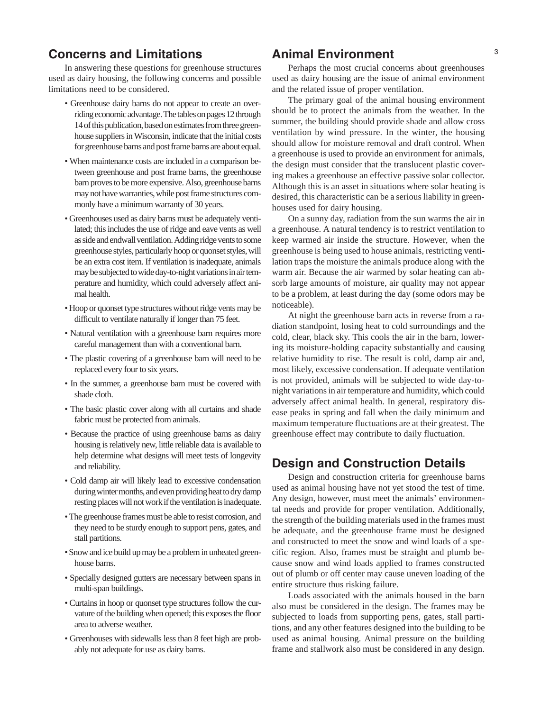# **Concerns and Limitations 6.**  $\blacksquare$  Animal Environment  $\blacksquare$

In answering these questions for greenhouse structures used as dairy housing, the following concerns and possible limitations need to be considered.

- Greenhouse dairy barns do not appear to create an overriding economic advantage. The tables on pages 12 through 14 of this publication, based on estimates from three greenhouse suppliers in Wisconsin, indicate that the initial costs for greenhouse barns and post frame barns are about equal.
- When maintenance costs are included in a comparison between greenhouse and post frame barns, the greenhouse barn proves to be more expensive. Also, greenhouse barns may not have warranties, while post frame structures commonly have a minimum warranty of 30 years.
- Greenhouses used as dairy barns must be adequately ventilated; this includes the use of ridge and eave vents as well as side and endwall ventilation. Adding ridge vents to some greenhouse styles, particularly hoop or quonset styles, will be an extra cost item. If ventilation is inadequate, animals may be subjected to wide day-to-night variations in air temperature and humidity, which could adversely affect animal health.
- Hoop or quonset type structures without ridge vents may be difficult to ventilate naturally if longer than 75 feet.
- Natural ventilation with a greenhouse barn requires more careful management than with a conventional barn.
- The plastic covering of a greenhouse barn will need to be replaced every four to six years.
- In the summer, a greenhouse barn must be covered with shade cloth.
- The basic plastic cover along with all curtains and shade fabric must be protected from animals.
- Because the practice of using greenhouse barns as dairy housing is relatively new, little reliable data is available to help determine what designs will meet tests of longevity and reliability.
- Cold damp air will likely lead to excessive condensation during winter months, and even providing heat to dry damp resting places will not work if the ventilation is inadequate.
- The greenhouse frames must be able to resist corrosion, and they need to be sturdy enough to support pens, gates, and stall partitions.
- Snow and ice build up may be a problem in unheated greenhouse barns.
- Specially designed gutters are necessary between spans in multi-span buildings.
- Curtains in hoop or quonset type structures follow the curvature of the building when opened; this exposes the floor area to adverse weather.
- Greenhouses with sidewalls less than 8 feet high are probably not adequate for use as dairy barns.

# Animal Environment

Perhaps the most crucial concerns about greenhouses used as dairy housing are the issue of animal environment and the related issue of proper ventilation.

The primary goal of the animal housing environment should be to protect the animals from the weather. In the summer, the building should provide shade and allow cross ventilation by wind pressure. In the winter, the housing should allow for moisture removal and draft control. When a greenhouse is used to provide an environment for animals, the design must consider that the translucent plastic covering makes a greenhouse an effective passive solar collector. Although this is an asset in situations where solar heating is desired, this characteristic can be a serious liability in greenhouses used for dairy housing.

On a sunny day, radiation from the sun warms the air in a greenhouse. A natural tendency is to restrict ventilation to keep warmed air inside the structure. However, when the greenhouse is being used to house animals, restricting ventilation traps the moisture the animals produce along with the warm air. Because the air warmed by solar heating can absorb large amounts of moisture, air quality may not appear to be a problem, at least during the day (some odors may be noticeable).

At night the greenhouse barn acts in reverse from a radiation standpoint, losing heat to cold surroundings and the cold, clear, black sky. This cools the air in the barn, lowering its moisture-holding capacity substantially and causing relative humidity to rise. The result is cold, damp air and, most likely, excessive condensation. If adequate ventilation is not provided, animals will be subjected to wide day-tonight variations in air temperature and humidity, which could adversely affect animal health. In general, respiratory disease peaks in spring and fall when the daily minimum and maximum temperature fluctuations are at their greatest. The greenhouse effect may contribute to daily fluctuation.

# Design and Construction Details

Design and construction criteria for greenhouse barns used as animal housing have not yet stood the test of time. Any design, however, must meet the animals' environmental needs and provide for proper ventilation. Additionally, the strength of the building materials used in the frames must be adequate, and the greenhouse frame must be designed and constructed to meet the snow and wind loads of a specific region. Also, frames must be straight and plumb because snow and wind loads applied to frames constructed out of plumb or off center may cause uneven loading of the entire structure thus risking failure.

Loads associated with the animals housed in the barn also must be considered in the design. The frames may be subjected to loads from supporting pens, gates, stall partitions, and any other features designed into the building to be used as animal housing. Animal pressure on the building frame and stallwork also must be considered in any design.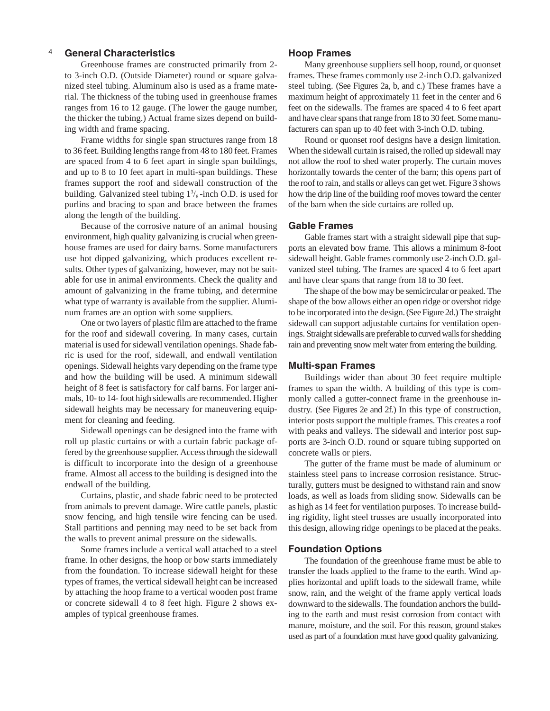## 4 Hoop Frames General Characteristics

Greenhouse frames are constructed primarily from 2 to 3-inch O.D. (Outside Diameter) round or square galvanized steel tubing. Aluminum also is used as a frame material. The thickness of the tubing used in greenhouse frames ranges from 16 to 12 gauge. (The lower the gauge number, the thicker the tubing.) Actual frame sizes depend on building width and frame spacing.

Frame widths for single span structures range from 18 to 36 feet. Building lengths range from 48 to 180 feet. Frames are spaced from 4 to 6 feet apart in single span buildings, and up to 8 to 10 feet apart in multi-span buildings. These frames support the roof and sidewall construction of the building. Galvanized steel tubing  $1\frac{3}{8}$ -inch O.D. is used for purlins and bracing to span and brace between the frames along the length of the building.

Because of the corrosive nature of an animal housing environment, high quality galvanizing is crucial when greenhouse frames are used for dairy barns. Some manufacturers use hot dipped galvanizing, which produces excellent results. Other types of galvanizing, however, may not be suitable for use in animal environments. Check the quality and amount of galvanizing in the frame tubing, and determine what type of warranty is available from the supplier. Aluminum frames are an option with some suppliers.

One or two layers of plastic film are attached to the frame for the roof and sidewall covering. In many cases, curtain material is used for sidewall ventilation openings. Shade fabric is used for the roof, sidewall, and endwall ventilation openings. Sidewall heights vary depending on the frame type and how the building will be used. A minimum sidewall height of 8 feet is satisfactory for calf barns. For larger animals, 10- to 14- foot high sidewalls are recommended. Higher sidewall heights may be necessary for maneuvering equipment for cleaning and feeding.

Sidewall openings can be designed into the frame with roll up plastic curtains or with a curtain fabric package offered by the greenhouse supplier. Access through the sidewall is difficult to incorporate into the design of a greenhouse frame. Almost all access to the building is designed into the endwall of the building.

Curtains, plastic, and shade fabric need to be protected from animals to prevent damage. Wire cattle panels, plastic snow fencing, and high tensile wire fencing can be used. Stall partitions and penning may need to be set back from the walls to prevent animal pressure on the sidewalls.

Some frames include a vertical wall attached to a steel frame. In other designs, the hoop or bow starts immediately from the foundation. To increase sidewall height for these types of frames, the vertical sidewall height can be increased by attaching the hoop frame to a vertical wooden post frame or concrete sidewall 4 to 8 feet high. Figure 2 shows examples of typical greenhouse frames.

Many greenhouse suppliers sell hoop, round, or quonset frames. These frames commonly use 2-inch O.D. galvanized steel tubing. (See Figures 2a, b, and c.) These frames have a maximum height of approximately 11 feet in the center and 6 feet on the sidewalls. The frames are spaced 4 to 6 feet apart and have clear spans that range from 18 to 30 feet. Some manufacturers can span up to 40 feet with 3-inch O.D. tubing.

Round or quonset roof designs have a design limitation. When the sidewall curtain is raised, the rolled up sidewall may not allow the roof to shed water properly. The curtain moves horizontally towards the center of the barn; this opens part of the roof to rain, and stalls or alleys can get wet. Figure 3 shows how the drip line of the building roof moves toward the center of the barn when the side curtains are rolled up.

### Gable Frames

Gable frames start with a straight sidewall pipe that supports an elevated bow frame. This allows a minimum 8-foot sidewall height. Gable frames commonly use 2-inch O.D. galvanized steel tubing. The frames are spaced 4 to 6 feet apart and have clear spans that range from 18 to 30 feet.

The shape of the bow may be semicircular or peaked. The shape of the bow allows either an open ridge or overshot ridge to be incorporated into the design. (See Figure 2d.) The straight sidewall can support adjustable curtains for ventilation openings. Straight sidewalls are preferable to curved walls for shedding rain and preventing snow melt water from entering the building.

## Multi-span Frames

Buildings wider than about 30 feet require multiple frames to span the width. A building of this type is commonly called a gutter-connect frame in the greenhouse industry. (See Figures 2e and 2f.) In this type of construction, interior posts support the multiple frames. This creates a roof with peaks and valleys. The sidewall and interior post supports are 3-inch O.D. round or square tubing supported on concrete walls or piers.

The gutter of the frame must be made of aluminum or stainless steel pans to increase corrosion resistance. Structurally, gutters must be designed to withstand rain and snow loads, as well as loads from sliding snow. Sidewalls can be as high as 14 feet for ventilation purposes. To increase building rigidity, light steel trusses are usually incorporated into this design, allowing ridge openings to be placed at the peaks.

### Foundation Options

The foundation of the greenhouse frame must be able to transfer the loads applied to the frame to the earth. Wind applies horizontal and uplift loads to the sidewall frame, while snow, rain, and the weight of the frame apply vertical loads downward to the sidewalls. The foundation anchors the building to the earth and must resist corrosion from contact with manure, moisture, and the soil. For this reason, ground stakes used as part of a foundation must have good quality galvanizing.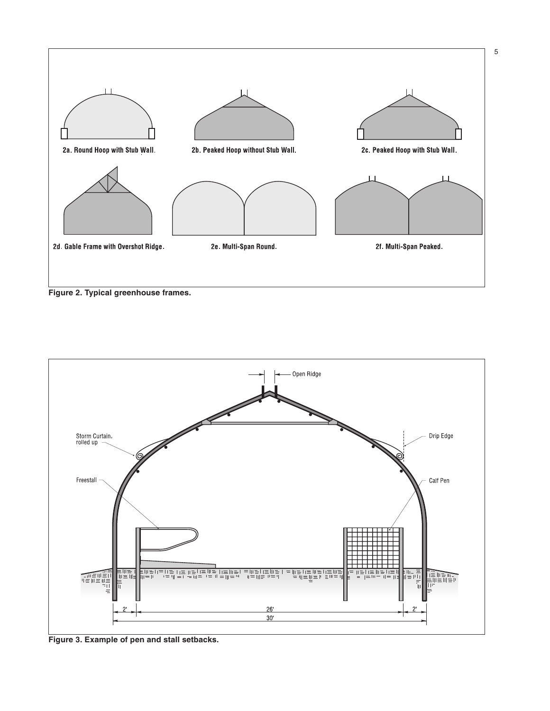

5

Figure 2. Typical greenhouse frames.



Figure 3. Example of pen and stall setbacks.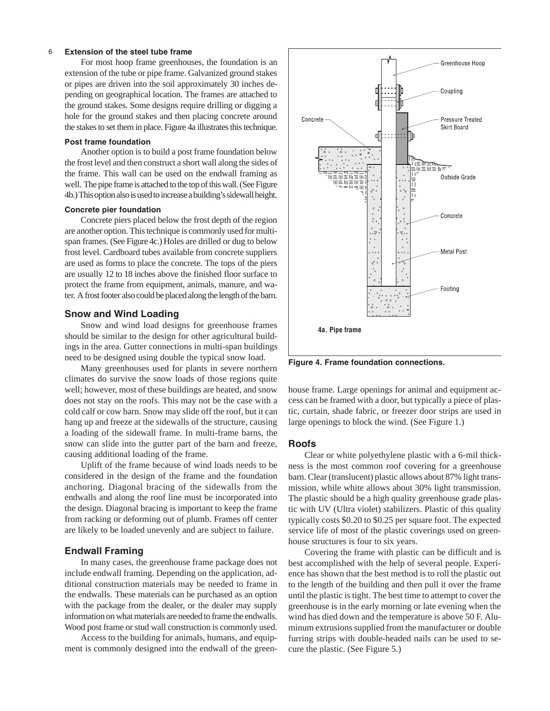### 6 Extension of the steel tube frame

For most hoop frame greenhouses, the foundation is an extension of the tube or pipe frame. Galvanized ground stakes or pipes are driven into the soil approximately 30 inches depending on geographical location. The frames are attached to the ground stakes. Some designs require drilling or digging a hole for the ground stakes and then placing concrete around the stakes to set them in place. Figure 4a illustrates this technique.

### Post frame foundation

Another option is to build a post frame foundation below the frost level and then construct a short wall along the sides of the frame. This wall can be used on the endwall framing as well. The pipe frame is attached to the top of this wall. (See Figure 4b.) This option also is used to increase a building's sidewall height.

### Concrete pier foundation

Concrete piers placed below the frost depth of the region are another option. This technique is commonly used for multispan frames. (See Figure 4c.) Holes are drilled or dug to below frost level. Cardboard tubes available from concrete suppliers are used as forms to place the concrete. The tops of the piers are usually 12 to 18 inches above the finished floor surface to protect the frame from equipment, animals, manure, and water. A frost footer also could be placed along the length of the barn.

### Snow and Wind Loading

Snow and wind load designs for greenhouse frames should be similar to the design for other agricultural buildings in the area. Gutter connections in multi-span buildings need to be designed using double the typical snow load.

Many greenhouses used for plants in severe northern climates do survive the snow loads of those regions quite well; however, most of these buildings are heated, and snow does not stay on the roofs. This may not be the case with a cold calf or cow barn. Snow may slide off the roof, but it can hang up and freeze at the sidewalls of the structure, causing a loading of the sidewall frame. In multi-frame barns, the snow can slide into the gutter part of the barn and freeze, causing additional loading of the frame.

Uplift of the frame because of wind loads needs to be considered in the design of the frame and the foundation anchoring. Diagonal bracing of the sidewalls from the endwalls and along the roof line must be incorporated into the design. Diagonal bracing is important to keep the frame from racking or deforming out of plumb. Frames off center are likely to be loaded unevenly and are subject to failure.

### Endwall Framing

In many cases, the greenhouse frame package does not include endwall framing. Depending on the application, additional construction materials may be needed to frame in the endwalls. These materials can be purchased as an option with the package from the dealer, or the dealer may supply information on what materials are needed to frame the endwalls. Wood post frame or stud wall construction is commonly used.

Access to the building for animals, humans, and equipment is commonly designed into the endwall of the green-



Figure 4. Frame foundation connections.

house frame. Large openings for animal and equipment access can be framed with a door, but typically a piece of plastic, curtain, shade fabric, or freezer door strips are used in large openings to block the wind. (See Figure 1.)

### Roofs

Clear or white polyethylene plastic with a 6-mil thickness is the most common roof covering for a greenhouse barn. Clear (translucent) plastic allows about 87% light transmission, while white allows about 30% light transmission. The plastic should be a high quality greenhouse grade plastic with UV (Ultra violet) stabilizers. Plastic of this quality typically costs \$0.20 to \$0.25 per square foot. The expected service life of most of the plastic coverings used on greenhouse structures is four to six years.

Covering the frame with plastic can be difficult and is best accomplished with the help of several people. Experience has shown that the best method is to roll the plastic out to the length of the building and then pull it over the frame until the plastic is tight. The best time to attempt to cover the greenhouse is in the early morning or late evening when the wind has died down and the temperature is above 50 F. Aluminum extrusions supplied from the manufacturer or double furring strips with double-headed nails can be used to secure the plastic. (See Figure 5.)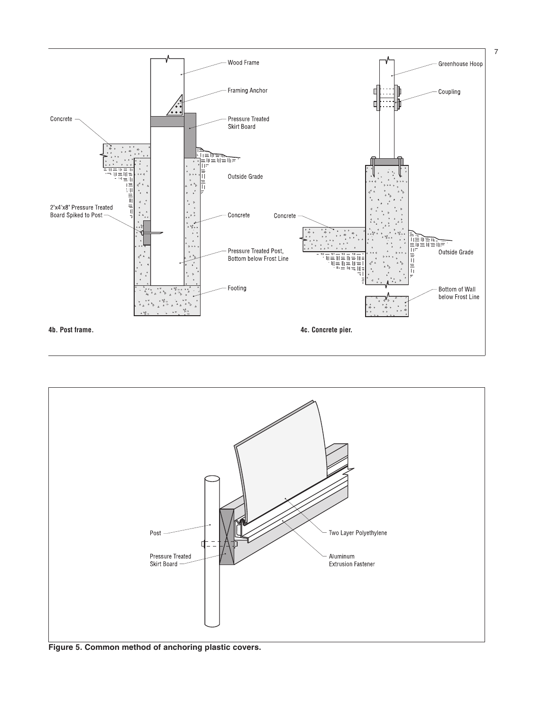



Figure 5. Common method of anchoring plastic covers.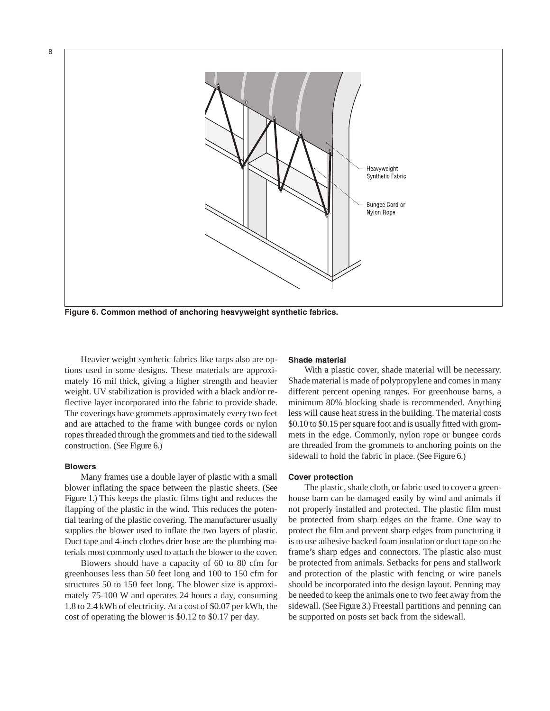

Figure 6. Common method of anchoring heavyweight synthetic fabrics.

Heavier weight synthetic fabrics like tarps also are options used in some designs. These materials are approximately 16 mil thick, giving a higher strength and heavier weight. UV stabilization is provided with a black and/or reflective layer incorporated into the fabric to provide shade. The coverings have grommets approximately every two feet and are attached to the frame with bungee cords or nylon ropes threaded through the grommets and tied to the sidewall construction. (See Figure 6.)

### Blowers

8

Many frames use a double layer of plastic with a small blower inflating the space between the plastic sheets. (See Figure 1.) This keeps the plastic films tight and reduces the flapping of the plastic in the wind. This reduces the potential tearing of the plastic covering. The manufacturer usually supplies the blower used to inflate the two layers of plastic. Duct tape and 4-inch clothes drier hose are the plumbing materials most commonly used to attach the blower to the cover.

Blowers should have a capacity of 60 to 80 cfm for greenhouses less than 50 feet long and 100 to 150 cfm for structures 50 to 150 feet long. The blower size is approximately 75-100 W and operates 24 hours a day, consuming 1.8 to 2.4 kWh of electricity. At a cost of \$0.07 per kWh, the cost of operating the blower is \$0.12 to \$0.17 per day.

### Shade material

With a plastic cover, shade material will be necessary. Shade material is made of polypropylene and comes in many different percent opening ranges. For greenhouse barns, a minimum 80% blocking shade is recommended. Anything less will cause heat stress in the building. The material costs \$0.10 to \$0.15 per square foot and is usually fitted with grommets in the edge. Commonly, nylon rope or bungee cords are threaded from the grommets to anchoring points on the sidewall to hold the fabric in place. (See Figure 6.)

### Cover protection

The plastic, shade cloth, or fabric used to cover a greenhouse barn can be damaged easily by wind and animals if not properly installed and protected. The plastic film must be protected from sharp edges on the frame. One way to protect the film and prevent sharp edges from puncturing it is to use adhesive backed foam insulation or duct tape on the frame's sharp edges and connectors. The plastic also must be protected from animals. Setbacks for pens and stallwork and protection of the plastic with fencing or wire panels should be incorporated into the design layout. Penning may be needed to keep the animals one to two feet away from the sidewall. (See Figure 3.) Freestall partitions and penning can be supported on posts set back from the sidewall.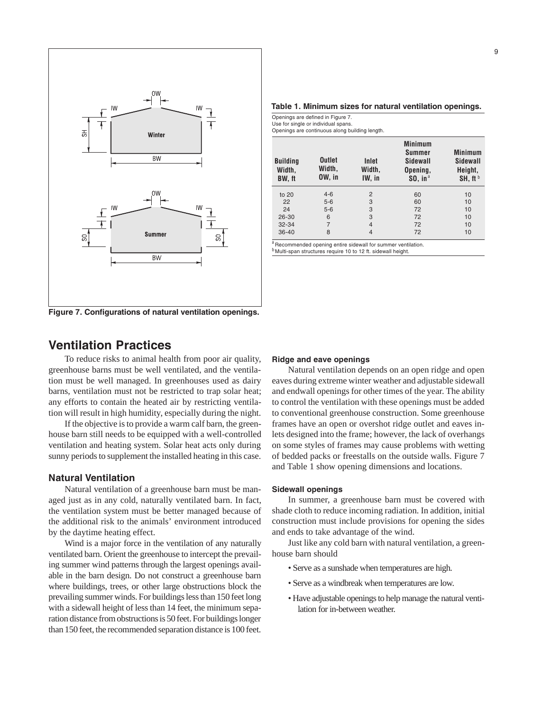

Figure 7. Configurations of natural ventilation openings.

### Table 1. Minimum sizes for natural ventilation openings.

Openings are defined in Figure 7. Use for single or individual spans.

Openings are continuous along building length.

| <b>Building</b><br>Width,<br><b>BW.</b> ft | <b>Outlet</b><br>Width,<br>OW, in | Inlet<br>Width,<br>IW, in | <b>Minimum</b><br>Summer<br>Sidewall<br>Opening,<br>$$0, in^a$ | <b>Minimum</b><br>Sidewall<br>Height,<br>SH, ft <sup>b</sup> |
|--------------------------------------------|-----------------------------------|---------------------------|----------------------------------------------------------------|--------------------------------------------------------------|
| to $20$                                    | $4 - 6$                           | $\overline{2}$            | 60                                                             | 10                                                           |
| 22                                         | $5-6$                             | 3                         | 60                                                             | 10                                                           |
| 24                                         | $5-6$                             | 3                         | 72                                                             | 10                                                           |
| 26-30                                      | 6                                 | 3                         | 72                                                             | 10                                                           |
| $32 - 34$                                  | 7                                 | $\overline{4}$            | 72                                                             | 10                                                           |
| $36 - 40$                                  | 8                                 | $\overline{4}$            | 72                                                             | 10                                                           |

" Recommended opening entire sidewall for summer ventilation.<br><sup>b</sup> Multi-span structures require 10 to 12 ft. sidewall height.

# Ventilation Practices

To reduce risks to animal health from poor air quality, greenhouse barns must be well ventilated, and the ventilation must be well managed. In greenhouses used as dairy barns, ventilation must not be restricted to trap solar heat; any efforts to contain the heated air by restricting ventilation will result in high humidity, especially during the night.

If the objective is to provide a warm calf barn, the greenhouse barn still needs to be equipped with a well-controlled ventilation and heating system. Solar heat acts only during sunny periods to supplement the installed heating in this case.

## Natural Ventilation

Natural ventilation of a greenhouse barn must be managed just as in any cold, naturally ventilated barn. In fact, the ventilation system must be better managed because of the additional risk to the animals' environment introduced by the daytime heating effect.

Wind is a major force in the ventilation of any naturally ventilated barn. Orient the greenhouse to intercept the prevailing summer wind patterns through the largest openings available in the barn design. Do not construct a greenhouse barn where buildings, trees, or other large obstructions block the prevailing summer winds. For buildings less than 150 feet long with a sidewall height of less than 14 feet, the minimum separation distance from obstructions is 50 feet. For buildings longer than 150 feet, the recommended separation distance is 100 feet.

### Ridge and eave openings

Natural ventilation depends on an open ridge and open eaves during extreme winter weather and adjustable sidewall and endwall openings for other times of the year. The ability to control the ventilation with these openings must be added to conventional greenhouse construction. Some greenhouse frames have an open or overshot ridge outlet and eaves inlets designed into the frame; however, the lack of overhangs on some styles of frames may cause problems with wetting of bedded packs or freestalls on the outside walls. Figure 7 and Table 1 show opening dimensions and locations.

### Sidewall openings

In summer, a greenhouse barn must be covered with shade cloth to reduce incoming radiation. In addition, initial construction must include provisions for opening the sides and ends to take advantage of the wind.

Just like any cold barn with natural ventilation, a greenhouse barn should

- Serve as a sunshade when temperatures are high.
- Serve as a windbreak when temperatures are low.
- Have adjustable openings to help manage the natural ventilation for in-between weather.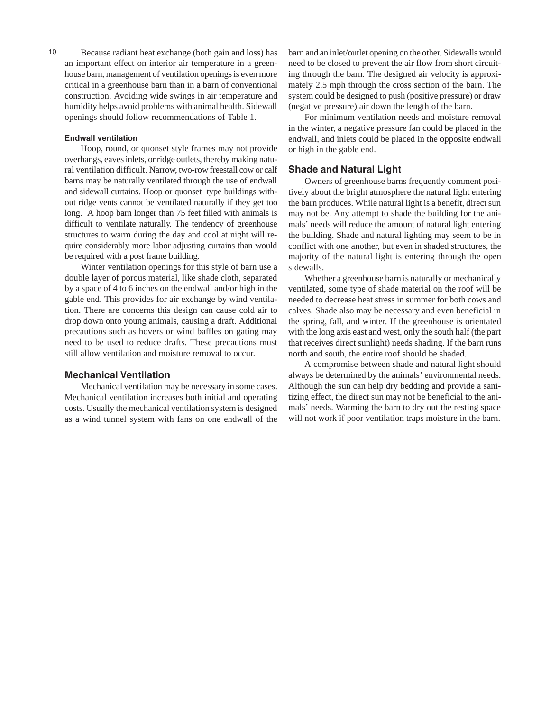an important effect on interior air temperature in a greenhouse barn, management of ventilation openings is even more critical in a greenhouse barn than in a barn of conventional construction. Avoiding wide swings in air temperature and humidity helps avoid problems with animal health. Sidewall openings should follow recommendations of Table 1.

### Endwall ventilation

Hoop, round, or quonset style frames may not provide overhangs, eaves inlets, or ridge outlets, thereby making natural ventilation difficult. Narrow, two-row freestall cow or calf barns may be naturally ventilated through the use of endwall and sidewall curtains. Hoop or quonset type buildings without ridge vents cannot be ventilated naturally if they get too long. A hoop barn longer than 75 feet filled with animals is difficult to ventilate naturally. The tendency of greenhouse structures to warm during the day and cool at night will require considerably more labor adjusting curtains than would be required with a post frame building.

Winter ventilation openings for this style of barn use a double layer of porous material, like shade cloth, separated by a space of 4 to 6 inches on the endwall and/or high in the gable end. This provides for air exchange by wind ventilation. There are concerns this design can cause cold air to drop down onto young animals, causing a draft. Additional precautions such as hovers or wind baffles on gating may need to be used to reduce drafts. These precautions must still allow ventilation and moisture removal to occur.

# Mechanical Ventilation

Mechanical ventilation may be necessary in some cases. Mechanical ventilation increases both initial and operating costs. Usually the mechanical ventilation system is designed as a wind tunnel system with fans on one endwall of the

10 barn and an inlet/outlet opening on the other. Sidewalls would need to be closed to prevent the air flow from short circuiting through the barn. The designed air velocity is approximately 2.5 mph through the cross section of the barn. The system could be designed to push (positive pressure) or draw (negative pressure) air down the length of the barn.

> For minimum ventilation needs and moisture removal in the winter, a negative pressure fan could be placed in the endwall, and inlets could be placed in the opposite endwall or high in the gable end.

### Shade and Natural Light

Owners of greenhouse barns frequently comment positively about the bright atmosphere the natural light entering the barn produces. While natural light is a benefit, direct sun may not be. Any attempt to shade the building for the animals' needs will reduce the amount of natural light entering the building. Shade and natural lighting may seem to be in conflict with one another, but even in shaded structures, the majority of the natural light is entering through the open sidewalls.

Whether a greenhouse barn is naturally or mechanically ventilated, some type of shade material on the roof will be needed to decrease heat stress in summer for both cows and calves. Shade also may be necessary and even beneficial in the spring, fall, and winter. If the greenhouse is orientated with the long axis east and west, only the south half (the part that receives direct sunlight) needs shading. If the barn runs north and south, the entire roof should be shaded.

A compromise between shade and natural light should always be determined by the animals' environmental needs. Although the sun can help dry bedding and provide a sanitizing effect, the direct sun may not be beneficial to the animals' needs. Warming the barn to dry out the resting space will not work if poor ventilation traps moisture in the barn.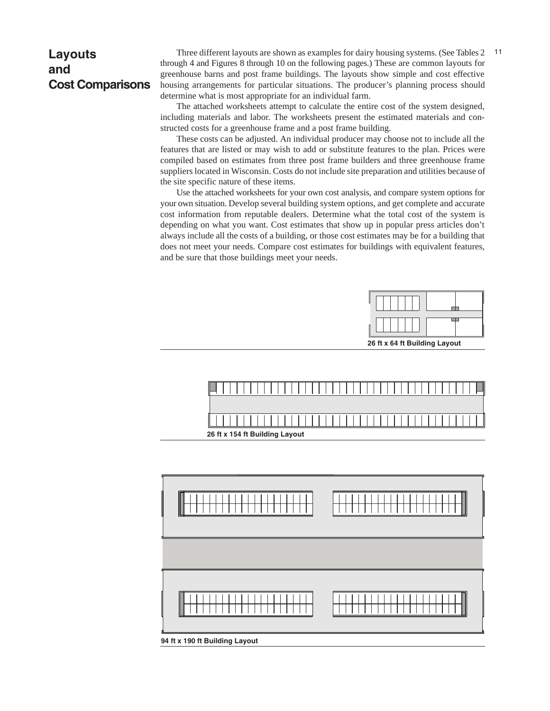# Layouts and Cost Comparisons

Three different layouts are shown as examples for dairy housing systems. (See Tables 2 11 through 4 and Figures 8 through 10 on the following pages.) These are common layouts for greenhouse barns and post frame buildings. The layouts show simple and cost effective housing arrangements for particular situations. The producer's planning process should determine what is most appropriate for an individual farm.

The attached worksheets attempt to calculate the entire cost of the system designed, including materials and labor. The worksheets present the estimated materials and constructed costs for a greenhouse frame and a post frame building.

These costs can be adjusted. An individual producer may choose not to include all the features that are listed or may wish to add or substitute features to the plan. Prices were compiled based on estimates from three post frame builders and three greenhouse frame suppliers located in Wisconsin. Costs do not include site preparation and utilities because of the site specific nature of these items.

Use the attached worksheets for your own cost analysis, and compare system options for your own situation. Develop several building system options, and get complete and accurate cost information from reputable dealers. Determine what the total cost of the system is depending on what you want. Cost estimates that show up in popular press articles don't always include all the costs of a building, or those cost estimates may be for a building that does not meet your needs. Compare cost estimates for buildings with equivalent features, and be sure that those buildings meet your needs.







94 ft x 190 ft Building Layout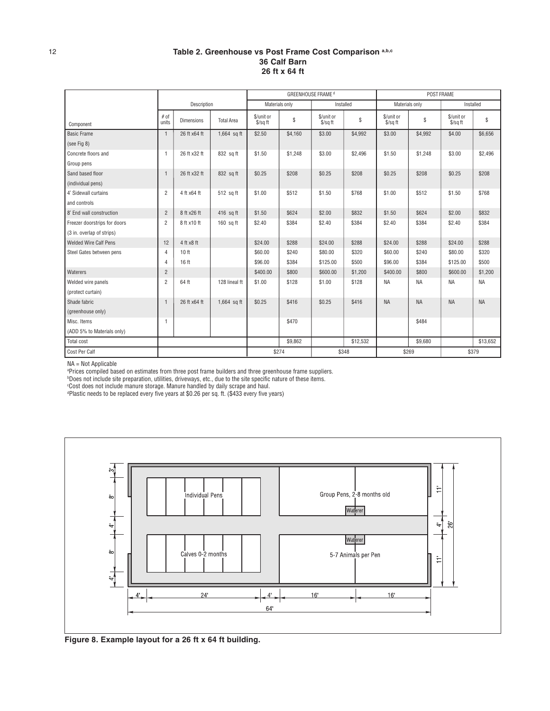### Table 2. Greenhouse vs Post Frame Cost Comparison a,b,c 36 Calf Barn 26 ft x 64 ft

|                              | Description    |                   |                   | GREENHOUSE FRAME <sup>d</sup>  |                |                          |          | POST FRAME                     |           |                                |           |
|------------------------------|----------------|-------------------|-------------------|--------------------------------|----------------|--------------------------|----------|--------------------------------|-----------|--------------------------------|-----------|
|                              |                |                   |                   |                                | Materials only | Installed                |          | Materials only                 |           |                                | Installed |
| Component                    | # of<br>units  | <b>Dimensions</b> | <b>Total Area</b> | \$/unit or<br>$\sqrt{$}$ /sqft | \$             | \$/unit or<br>$$$ /sq ft | S        | \$/unit or<br>$\sqrt{$}$ /sqft | S         | \$/unit or<br>$\sqrt{$}$ /sqft | \$        |
| <b>Basic Frame</b>           | $\mathbf{1}$   | 26 ft x64 ft      | $1,664$ sq ft     | \$2.50                         | \$4,160        | \$3.00                   | \$4,992  | \$3.00                         | \$4,992   | \$4.00                         | \$6,656   |
| (see Fig 8)                  |                |                   |                   |                                |                |                          |          |                                |           |                                |           |
| Concrete floors and          | $\mathbf{1}$   | 26 ft x32 ft      | 832 sq ft         | \$1.50                         | \$1,248        | \$3.00                   | \$2,496  | \$1.50                         | \$1,248   | \$3.00                         | \$2,496   |
| Group pens                   |                |                   |                   |                                |                |                          |          |                                |           |                                |           |
| Sand based floor             | $\overline{1}$ | 26 ft x32 ft      | 832 sa ft         | \$0.25                         | \$208          | \$0.25                   | \$208    | \$0.25                         | \$208     | \$0.25                         | \$208     |
| (individual pens)            |                |                   |                   |                                |                |                          |          |                                |           |                                |           |
| 4' Sidewall curtains         | $\overline{2}$ | 4 ft x64 ft       | 512 sq ft         | \$1.00                         | \$512          | \$1.50                   | \$768    | \$1.00                         | \$512     | \$1.50                         | \$768     |
| and controls                 |                |                   |                   |                                |                |                          |          |                                |           |                                |           |
| 8' End wall construction     | $\overline{2}$ | 8 ft x26 ft       | 416 sq ft         | \$1.50                         | \$624          | \$2.00                   | \$832    | \$1.50                         | \$624     | \$2.00                         | \$832     |
| Freezer doorstrips for doors | $\overline{2}$ | 8 ft x10 ft       | $160$ sq ft       | \$2.40                         | \$384          | \$2.40                   | \$384    | \$2.40                         | \$384     | \$2.40                         | \$384     |
| (3 in. overlap of strips)    |                |                   |                   |                                |                |                          |          |                                |           |                                |           |
| <b>Welded Wire Calf Pens</b> | 12             | 4 ft x8 ft        |                   | \$24.00                        | \$288          | \$24.00                  | \$288    | \$24.00                        | \$288     | \$24.00                        | \$288     |
| Steel Gates between pens     | $\overline{4}$ | 10 <sub>ft</sub>  |                   | \$60.00                        | \$240          | \$80.00                  | \$320    | \$60.00                        | \$240     | \$80.00                        | \$320     |
|                              | 4              | 16 <sub>ft</sub>  |                   | \$96.00                        | \$384          | \$125.00                 | \$500    | \$96.00                        | \$384     | \$125.00                       | \$500     |
| Waterers                     | $\overline{2}$ |                   |                   | \$400.00                       | \$800          | \$600.00                 | \$1,200  | \$400.00                       | \$800     | \$600.00                       | \$1,200   |
| Welded wire panels           | $\overline{2}$ | 64 ft             | 128 lineal ft     | \$1.00                         | \$128          | \$1.00                   | \$128    | <b>NA</b>                      | <b>NA</b> | <b>NA</b>                      | <b>NA</b> |
| (protect curtain)            |                |                   |                   |                                |                |                          |          |                                |           |                                |           |
| Shade fabric                 |                | 26 ft x64 ft      | 1,664 sq ft       | \$0.25                         | \$416          | \$0.25                   | \$416    | <b>NA</b>                      | <b>NA</b> | <b>NA</b>                      | <b>NA</b> |
| (greenhouse only)            |                |                   |                   |                                |                |                          |          |                                |           |                                |           |
| Misc. Items                  |                |                   |                   |                                | \$470          |                          |          |                                | \$484     |                                |           |
| (ADD 5% to Materials only)   |                |                   |                   |                                |                |                          |          |                                |           |                                |           |
| Total cost                   |                |                   |                   |                                | \$9,862        |                          | \$12,532 |                                | \$9.680   |                                | \$13,652  |
| Cost Per Calf                |                |                   |                   |                                | \$274<br>\$348 |                          |          |                                | \$269     |                                | \$379     |

NA = Not Applicable<br>ªPrices compiled based on estimates from three post frame builders and three greenhouse frame suppliers.<br>ªDoes not include site preparation, utilities, driveways, etc., due to the site specific nature

c Cost does not include manure storage. Manure handled by daily scrape and haul. d Plastic needs to be replaced every five years at \$0.26 per sq. ft. (\$433 every five years)



Figure 8. Example layout for a 26 ft x 64 ft building.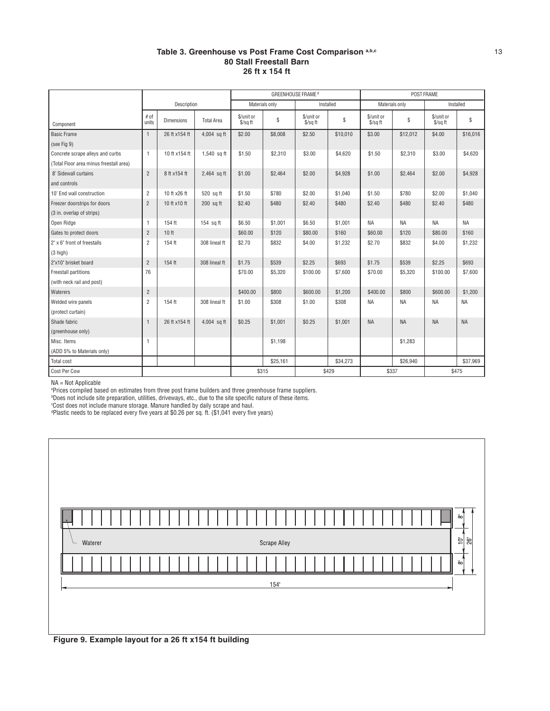### Table 3. Greenhouse vs Post Frame Cost Comparison a,b,c 13 80 Stall Freestall Barn 26 ft x 154 ft

|                                         |                |                   |                   | <b>GREENHOUSE FRAME<sup>d</sup></b> |             |                                |          | POST FRAME               |           |                        |             |
|-----------------------------------------|----------------|-------------------|-------------------|-------------------------------------|-------------|--------------------------------|----------|--------------------------|-----------|------------------------|-------------|
|                                         | Description    |                   |                   | Materials only                      |             | Installed                      |          | Materials only           |           | Installed              |             |
| Component                               | # of<br>units  | <b>Dimensions</b> | <b>Total Area</b> | \$/unit or<br>$$$ /sq ft            | $\mathbb S$ | \$/unit or<br>$\sqrt{$}$ /sqft | \$       | \$/unit or<br>$S/s$ a ft | S         | \$/unit or<br>\$/sq ft | $\mathbb S$ |
| <b>Basic Frame</b>                      | $\mathbf{1}$   | 26 ft x154 ft     | 4,004 sq ft       | \$2.00                              | \$8,008     | \$2.50                         | \$10,010 | \$3.00                   | \$12,012  | \$4.00                 | \$16,016    |
| (see Fig 9)                             |                |                   |                   |                                     |             |                                |          |                          |           |                        |             |
| Concrete scrape alleys and curbs        | 1              | 10 ft x154 ft     | 1,540 sq ft       | \$1.50                              | \$2,310     | \$3.00                         | \$4,620  | \$1.50                   | \$2,310   | \$3.00                 | \$4,620     |
| (Total Floor area minus freestall area) |                |                   |                   |                                     |             |                                |          |                          |           |                        |             |
| 8' Sidewall curtains                    | $\overline{2}$ | 8 ft x154 ft      | 2,464 sq ft       | \$1.00                              | \$2,464     | \$2.00                         | \$4,928  | \$1.00                   | \$2,464   | \$2.00                 | \$4,928     |
| and controls                            |                |                   |                   |                                     |             |                                |          |                          |           |                        |             |
| 10' End wall construction               | $\overline{c}$ | 10 ft x26 ft      | 520 sq ft         | \$1.50                              | \$780       | \$2.00                         | \$1,040  | \$1.50                   | \$780     | \$2.00                 | \$1,040     |
| Freezer doorstrips for doors            | $\overline{2}$ | 10 ft x10 ft      | 200 sq ft         | \$2.40                              | \$480       | \$2.40                         | \$480    | \$2.40                   | \$480     | \$2.40                 | \$480       |
| (3 in. overlap of strips)               |                |                   |                   |                                     |             |                                |          |                          |           |                        |             |
| Open Ridge                              | $\mathbf{1}$   | 154 ft            | $154$ sq ft       | \$6.50                              | \$1,001     | \$6.50                         | \$1,001  | <b>NA</b>                | <b>NA</b> | NA                     | <b>NA</b>   |
| Gates to protect doors                  | $\overline{2}$ | 10 <sub>ft</sub>  |                   | \$60.00                             | \$120       | \$80.00                        | \$160    | \$60.00                  | \$120     | \$80.00                | \$160       |
| 2" x 6" front of freestalls             | $\overline{2}$ | 154 ft            | 308 lineal ft     | \$2.70                              | \$832       | \$4.00                         | \$1,232  | \$2.70                   | \$832     | \$4.00                 | \$1,232     |
| $(3$ high)                              |                |                   |                   |                                     |             |                                |          |                          |           |                        |             |
| 2"x10" brisket board                    | $\overline{2}$ | 154 ft            | 308 lineal ft     | \$1.75                              | \$539       | \$2.25                         | \$693    | \$1.75                   | \$539     | \$2.25                 | \$693       |
| Freestall partitions                    | 76             |                   |                   | \$70.00                             | \$5,320     | \$100.00                       | \$7,600  | \$70.00                  | \$5,320   | \$100.00               | \$7,600     |
| (with neck rail and post)               |                |                   |                   |                                     |             |                                |          |                          |           |                        |             |
| Waterers                                | $\overline{2}$ |                   |                   | \$400.00                            | \$800       | \$600.00                       | \$1,200  | \$400.00                 | \$800     | \$600.00               | \$1,200     |
| Welded wire panels                      | $\overline{c}$ | 154 ft            | 308 lineal ft     | \$1.00                              | \$308       | \$1.00                         | \$308    | <b>NA</b>                | <b>NA</b> | NA                     | ΝA          |
| (protect curtain)                       |                |                   |                   |                                     |             |                                |          |                          |           |                        |             |
| Shade fabric                            | $\mathbf{1}$   | 26 ft x154 ft     | 4,004 sq ft       | \$0.25                              | \$1,001     | \$0.25                         | \$1,001  | <b>NA</b>                | <b>NA</b> | <b>NA</b>              | <b>NA</b>   |
| (greenhouse only)                       |                |                   |                   |                                     |             |                                |          |                          |           |                        |             |
| Misc. Items                             | $\mathbf{1}$   |                   |                   |                                     | \$1,198     |                                |          |                          | \$1,283   |                        |             |
| (ADD 5% to Materials only)              |                |                   |                   |                                     |             |                                |          |                          |           |                        |             |
| Total cost                              |                |                   |                   |                                     | \$25,161    |                                | \$34,273 |                          | \$26.940  |                        | \$37,969    |
| Cost Per Cow                            |                |                   |                   | \$315                               |             |                                | \$429    | \$337                    |           | \$475                  |             |

NA = Not Applicable<br>ªPrices compiled based on estimates from three post frame builders and three greenhouse frame suppliers.<br>ªDoes not include site preparation, utilities, driveways, etc., due to the site specific nature o

d Plastic needs to be replaced every five years at \$0.26 per sq. ft. (\$1,041 every five years)

| ᅌ                                                     |
|-------------------------------------------------------|
| 26'<br>흭<br><b>Scrape Alley</b><br>Waterer            |
| ōهl                                                   |
| 154'                                                  |
|                                                       |
| Figure 9. Example layout for a 26 ft x154 ft building |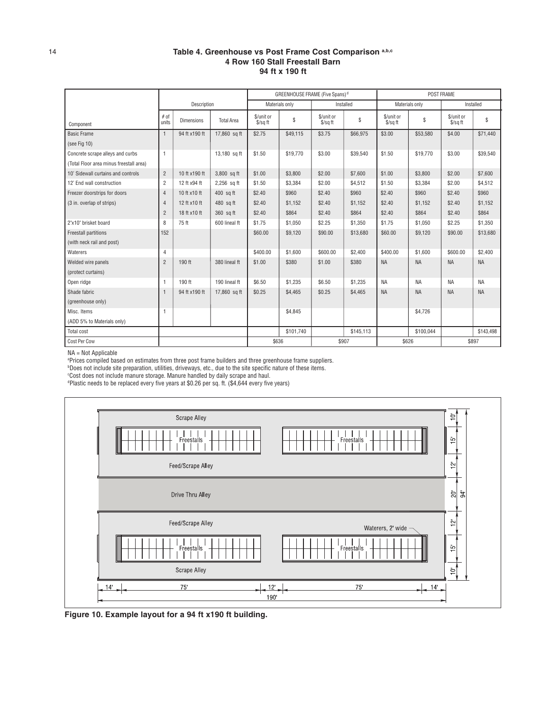### 14 Table 4. Greenhouse vs Post Frame Cost Comparison a,b,c 4 Row 160 Stall Freestall Barn 94 ft x 190 ft

|                                         | Description    |                   |                   | GREENHOUSE FRAME (Five Spans) <sup>d</sup> |                |                          |               | POST FRAME             |           |                                |           |
|-----------------------------------------|----------------|-------------------|-------------------|--------------------------------------------|----------------|--------------------------|---------------|------------------------|-----------|--------------------------------|-----------|
|                                         |                |                   |                   |                                            | Materials only | Installed                |               | Materials only         |           |                                | Installed |
| Component                               | # of<br>units  | <b>Dimensions</b> | <b>Total Area</b> | \$/unit or<br>\$/sq ft                     | \$             | \$/unit or<br>$$$ /sq ft | ${\mathbb S}$ | \$/unit or<br>\$/sq ft | \$        | \$/unit or<br>$\sqrt{$}$ /sqft | \$        |
| <b>Basic Frame</b>                      | $\mathbf{1}$   | 94 ft x190 ft     | 17,860 sq ft      | \$2.75                                     | \$49,115       | \$3.75                   | \$66,975      | \$3.00                 | \$53,580  | \$4.00                         | \$71,440  |
| (see Fig 10)                            |                |                   |                   |                                            |                |                          |               |                        |           |                                |           |
| Concrete scrape alleys and curbs        | 1              |                   | 13,180 sq ft      | \$1.50                                     | \$19,770       | \$3.00                   | \$39,540      | \$1.50                 | \$19,770  | \$3.00                         | \$39,540  |
| (Total Floor area minus freestall area) |                |                   |                   |                                            |                |                          |               |                        |           |                                |           |
| 10' Sidewall curtains and controls      | $\overline{2}$ | 10 ft x190 ft     | 3,800 sq ft       | \$1.00                                     | \$3,800        | \$2.00                   | \$7,600       | \$1.00                 | \$3,800   | \$2.00                         | \$7,600   |
| 12' End wall construction               | $\overline{2}$ | 12 ft x94 ft      | 2,256 sq ft       | \$1.50                                     | \$3,384        | \$2.00                   | \$4,512       | \$1.50                 | \$3,384   | \$2.00                         | \$4,512   |
| Freezer doorstrips for doors            | $\overline{4}$ | 10 ft x10 ft      | 400 sq ft         | \$2.40                                     | \$960          | \$2.40                   | \$960         | \$2.40                 | \$960     | \$2.40                         | \$960     |
| (3 in. overlap of strips)               | $\overline{4}$ | 12 ft x10 ft      | 480 sq ft         | \$2.40                                     | \$1,152        | \$2.40                   | \$1,152       | \$2.40                 | \$1,152   | \$2.40                         | \$1,152   |
|                                         | $\overline{2}$ | 18 ft x10 ft      | 360 sq ft         | \$2.40                                     | \$864          | \$2.40                   | \$864         | \$2.40                 | \$864     | \$2.40                         | \$864     |
| 2"x10" brisket board                    | 8              | 75 ft             | 600 lineal ft     | \$1.75                                     | \$1,050        | \$2.25                   | \$1,350       | \$1.75                 | \$1,050   | \$2.25                         | \$1,350   |
| Freestall partitions                    | 152            |                   |                   | \$60.00                                    | \$9,120        | \$90.00                  | \$13,680      | \$60.00                | \$9,120   | \$90.00                        | \$13,680  |
| (with neck rail and post)               |                |                   |                   |                                            |                |                          |               |                        |           |                                |           |
| Waterers                                | $\overline{4}$ |                   |                   | \$400.00                                   | \$1,600        | \$600.00                 | \$2,400       | \$400.00               | \$1,600   | \$600.00                       | \$2,400   |
| Welded wire panels                      | $\overline{2}$ | 190 ft            | 380 lineal ft     | \$1.00                                     | \$380          | \$1.00                   | \$380         | <b>NA</b>              | <b>NA</b> | <b>NA</b>                      | <b>NA</b> |
| (protect curtains)                      |                |                   |                   |                                            |                |                          |               |                        |           |                                |           |
| Open ridge                              | $\mathbf{1}$   | 190 ft            | 190 lineal ft     | \$6.50                                     | \$1,235        | \$6.50                   | \$1,235       | <b>NA</b>              | <b>NA</b> | <b>NA</b>                      | <b>NA</b> |
| Shade fabric                            | $\mathbf{1}$   | 94 ft x190 ft     | 17,860 sq ft      | \$0.25                                     | \$4,465        | \$0.25                   | \$4,465       | <b>NA</b>              | <b>NA</b> | <b>NA</b>                      | <b>NA</b> |
| (greenhouse only)                       |                |                   |                   |                                            |                |                          |               |                        |           |                                |           |
| Misc. Items                             | $\mathbf{1}$   |                   |                   |                                            | \$4,845        |                          |               |                        | \$4,726   |                                |           |
| (ADD 5% to Materials only)              |                |                   |                   |                                            |                |                          |               |                        |           |                                |           |
| Total cost                              |                |                   |                   |                                            | \$101.740      |                          | \$145,113     |                        | \$100,044 |                                | \$143,498 |
| Cost Per Cow                            |                |                   |                   | \$636                                      |                |                          | \$907         |                        | \$626     |                                | \$897     |

NA = Not Applicable

a Prices compiled based on estimates from three post frame builders and three greenhouse frame suppliers.

ʰDoes not include site preparation, utilities, driveways, etc., due to the site specific nature of these items.<br>°Cost does not include manure storage. Manure handled by daily scrape and haul.<br>ªPlastic needs to be replaced



Figure 10. Example layout for a 94 ft x190 ft building.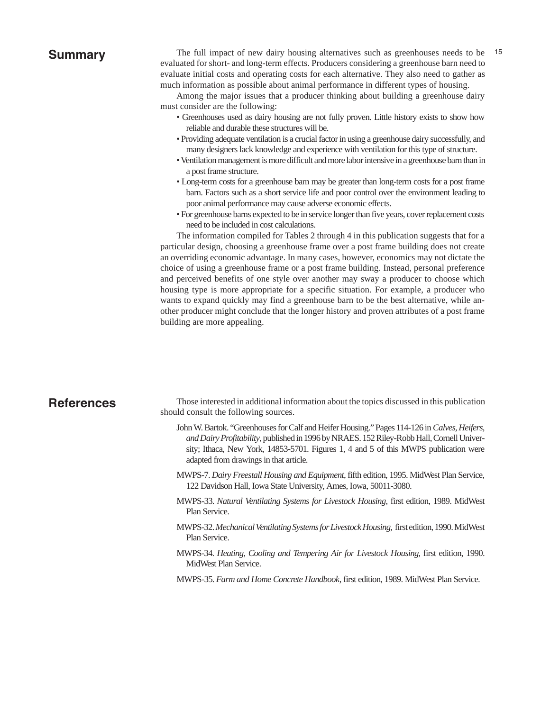# Summary

The full impact of new dairy housing alternatives such as greenhouses needs to be 15 evaluated for short- and long-term effects. Producers considering a greenhouse barn need to evaluate initial costs and operating costs for each alternative. They also need to gather as much information as possible about animal performance in different types of housing.

Among the major issues that a producer thinking about building a greenhouse dairy must consider are the following:

- Greenhouses used as dairy housing are not fully proven. Little history exists to show how reliable and durable these structures will be.
- Providing adequate ventilation is a crucial factor in using a greenhouse dairy successfully, and many designers lack knowledge and experience with ventilation for this type of structure.
- Ventilation management is more difficult and more labor intensive in a greenhouse barn than in a post frame structure.
- Long-term costs for a greenhouse barn may be greater than long-term costs for a post frame barn. Factors such as a short service life and poor control over the environment leading to poor animal performance may cause adverse economic effects.
- For greenhouse barns expected to be in service longer than five years, cover replacement costs need to be included in cost calculations.

The information compiled for Tables 2 through 4 in this publication suggests that for a particular design, choosing a greenhouse frame over a post frame building does not create an overriding economic advantage. In many cases, however, economics may not dictate the choice of using a greenhouse frame or a post frame building. Instead, personal preference and perceived benefits of one style over another may sway a producer to choose which housing type is more appropriate for a specific situation. For example, a producer who wants to expand quickly may find a greenhouse barn to be the best alternative, while another producer might conclude that the longer history and proven attributes of a post frame building are more appealing.

# **References**

Those interested in additional information about the topics discussed in this publication should consult the following sources.

- John W. Bartok. "Greenhouses for Calf and Heifer Housing." Pages 114-126 in *Calves, Heifers, and Dairy Profitability*, published in 1996 by NRAES. 152 Riley-Robb Hall, Cornell University; Ithaca, New York, 14853-5701. Figures 1, 4 and 5 of this MWPS publication were adapted from drawings in that article.
- MWPS-7. *Dairy Freestall Housing and Equipment*, fifth edition, 1995. MidWest Plan Service, 122 Davidson Hall, Iowa State University, Ames, Iowa, 50011-3080.
- MWPS-33. *Natural Ventilating Systems for Livestock Housing*, first edition, 1989. MidWest Plan Service.
- MWPS-32. *Mechanical Ventilating Systems for Livestock Housing*, first edition, 1990. MidWest Plan Service.
- MWPS-34. *Heating, Cooling and Tempering Air for Livestock Housing*, first edition, 1990. MidWest Plan Service.
- MWPS-35. *Farm and Home Concrete Handbook*, first edition, 1989. MidWest Plan Service.